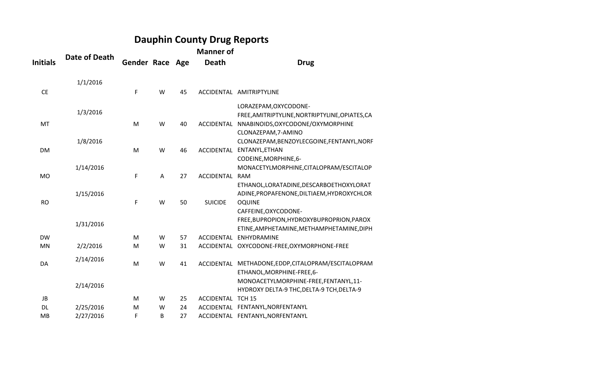## **Dauphin County Drug Reports**

|                 |                      |                        |   |    | <b>Manner of</b>  |                                                                     |
|-----------------|----------------------|------------------------|---|----|-------------------|---------------------------------------------------------------------|
| <b>Initials</b> | <b>Date of Death</b> | <b>Gender Race Age</b> |   |    | <b>Death</b>      | <b>Drug</b>                                                         |
|                 | 1/1/2016             |                        |   |    |                   |                                                                     |
| <b>CE</b>       |                      | F                      | W | 45 |                   | ACCIDENTAL AMITRIPTYLINE                                            |
|                 | 1/3/2016             |                        |   |    |                   | LORAZEPAM, OXYCODONE-                                               |
|                 |                      |                        |   |    |                   | FREE, AMITRIPTYLINE, NORTRIPTYLINE, OPIATES, CA                     |
| MT              |                      | M                      | W | 40 | ACCIDENTAL        | NNABINOIDS, OXYCODONE/OXYMORPHINE                                   |
|                 |                      |                        |   |    |                   | CLONAZEPAM, 7-AMINO                                                 |
|                 | 1/8/2016             |                        |   |    |                   | CLONAZEPAM, BENZOYLECGOINE, FENTANYL, NORF                          |
| <b>DM</b>       |                      | M                      | W | 46 |                   | ACCIDENTAL ENTANYL, ETHAN                                           |
|                 |                      |                        |   |    |                   | CODEINE, MORPHINE, 6-                                               |
|                 | 1/14/2016            |                        |   |    |                   | MONACETYLMORPHINE, CITALOPRAM/ESCITALOP                             |
| MO              |                      | F                      | A | 27 | ACCIDENTAL        | <b>RAM</b>                                                          |
|                 |                      |                        |   |    |                   | ETHANOL, LORATADINE, DESCARBOETHOXYLORAT                            |
|                 | 1/15/2016            |                        |   |    |                   | ADINE, PROPAFENONE, DILTIAEM, HYDROXYCHLOR                          |
| <b>RO</b>       |                      | F                      | W | 50 | <b>SUICIDE</b>    | <b>OQUINE</b>                                                       |
|                 |                      |                        |   |    |                   | CAFFEINE, OXYCODONE-                                                |
|                 | 1/31/2016            |                        |   |    |                   | FREE, BUPROPION, HYDROXYBUPROPRION, PAROX                           |
| <b>DW</b>       |                      | M                      | W | 57 |                   | ETINE, AMPHETAMINE, METHAMPHETAMINE, DIPH<br>ACCIDENTAL ENHYDRAMINE |
| MN              |                      | M                      | W | 31 |                   | ACCIDENTAL OXYCODONE-FREE, OXYMORPHONE-FREE                         |
|                 | 2/2/2016             |                        |   |    |                   |                                                                     |
| DA              | 2/14/2016            | M                      | W | 41 |                   | ACCIDENTAL METHADONE, EDDP, CITALOPRAM/ESCITALOPRAM                 |
|                 |                      |                        |   |    |                   | ETHANOL, MORPHINE-FREE, 6-                                          |
|                 |                      |                        |   |    |                   | MONOACETYLMORPHINE-FREE, FENTANYL, 11-                              |
|                 | 2/14/2016            |                        |   |    |                   | HYDROXY DELTA-9 THC, DELTA-9 TCH, DELTA-9                           |
| JB              |                      | M                      | W | 25 | <b>ACCIDENTAL</b> | <b>TCH 15</b>                                                       |
| <b>DL</b>       | 2/25/2016            | M                      | W | 24 |                   | ACCIDENTAL FENTANYL, NORFENTANYL                                    |
| MB              | 2/27/2016            | F                      | B | 27 |                   | ACCIDENTAL FENTANYL, NORFENTANYL                                    |
|                 |                      |                        |   |    |                   |                                                                     |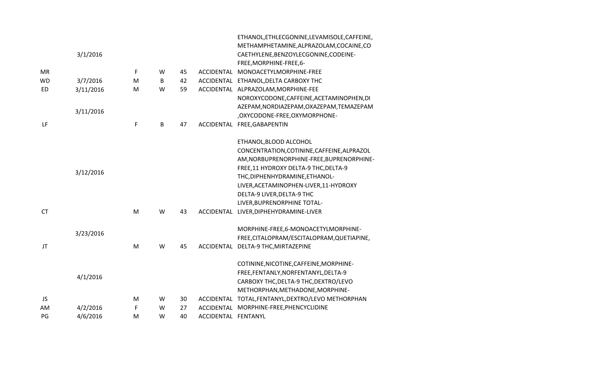|           |           |           |   |    |                     | ETHANOL, ETHLECGONINE, LEVAMISOLE, CAFFEINE,       |
|-----------|-----------|-----------|---|----|---------------------|----------------------------------------------------|
|           |           |           |   |    |                     | METHAMPHETAMINE, ALPRAZOLAM, COCAINE, CO           |
|           | 3/1/2016  |           |   |    |                     | CAETHYLENE, BENZOYLECGONINE, CODEINE-              |
|           |           |           |   |    |                     | FREE, MORPHINE-FREE, 6-                            |
| <b>MR</b> |           | F         | W | 45 |                     | ACCIDENTAL MONOACETYLMORPHINE-FREE                 |
| WD        | 3/7/2016  | M         | В | 42 |                     | ACCIDENTAL ETHANOL, DELTA CARBOXY THC              |
| <b>ED</b> | 3/11/2016 | M         | W | 59 |                     | ACCIDENTAL ALPRAZOLAM, MORPHINE-FEE                |
|           |           |           |   |    |                     | NOROXYCODONE, CAFFEINE, ACETAMINOPHEN, DI          |
|           | 3/11/2016 |           |   |    |                     | AZEPAM, NORDIAZEPAM, OXAZEPAM, TEMAZEPAM           |
|           |           |           |   |    |                     | , OXYCODONE-FREE, OXYMORPHONE-                     |
| LF        |           | F         | В | 47 |                     | ACCIDENTAL FREE, GABAPENTIN                        |
|           |           |           |   |    |                     | ETHANOL, BLOOD ALCOHOL                             |
|           |           |           |   |    |                     | CONCENTRATION, COTININE, CAFFEINE, ALPRAZOL        |
|           |           |           |   |    |                     | AM, NORBUPRENORPHINE-FREE, BUPRENORPHINE-          |
|           | 3/12/2016 |           |   |    |                     | FREE, 11 HYDROXY DELTA-9 THC, DELTA-9              |
|           |           |           |   |    |                     | THC, DIPHENHYDRAMINE, ETHANOL-                     |
|           |           |           |   |    |                     | LIVER, ACETAMINOPHEN-LIVER, 11-HYDROXY             |
|           |           |           |   |    |                     | DELTA-9 LIVER, DELTA-9 THC                         |
|           |           |           |   |    |                     | LIVER, BUPRENORPHINE TOTAL-                        |
| <b>CT</b> |           | ${\sf M}$ | W | 43 |                     | ACCIDENTAL LIVER, DIPHEHYDRAMINE-LIVER             |
|           |           |           |   |    |                     | MORPHINE-FREE,6-MONOACETYLMORPHINE-                |
|           | 3/23/2016 |           |   |    |                     | FREE, CITALOPRAM/ESCITALOPRAM, QUETIAPINE,         |
| JT        |           | M         | W | 45 |                     | ACCIDENTAL DELTA-9 THC, MIRTAZEPINE                |
|           |           |           |   |    |                     | COTININE, NICOTINE, CAFFEINE, MORPHINE-            |
|           |           |           |   |    |                     | FREE, FENTANLY, NORFENTANYL, DELTA-9               |
|           | 4/1/2016  |           |   |    |                     | CARBOXY THC, DELTA-9 THC, DEXTRO/LEVO              |
|           |           |           |   |    |                     | METHORPHAN, METHADONE, MORPHINE-                   |
| JS        |           | M         | W | 30 |                     | ACCIDENTAL TOTAL, FENTANYL, DEXTRO/LEVO METHORPHAN |
| AM        | 4/2/2016  | F         | W | 27 |                     | ACCIDENTAL MORPHINE-FREE, PHENCYCLIDINE            |
| PG        | 4/6/2016  | M         | W | 40 | ACCIDENTAL FENTANYL |                                                    |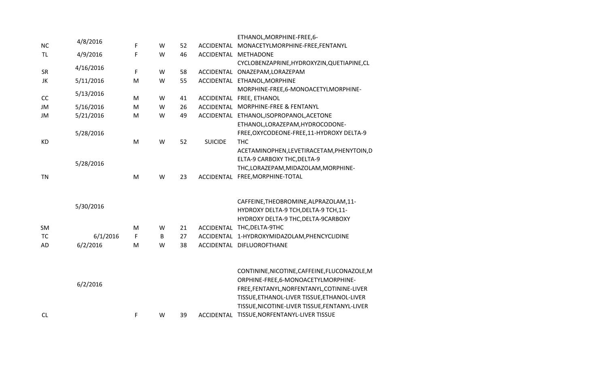|           |           |   |   |    |                | ETHANOL, MORPHINE-FREE, 6-                    |
|-----------|-----------|---|---|----|----------------|-----------------------------------------------|
| <b>NC</b> | 4/8/2016  | F | W | 52 | ACCIDENTAL     | MONACETYLMORPHINE-FREE, FENTANYL              |
| <b>TL</b> | 4/9/2016  | F | W | 46 | ACCIDENTAL     | <b>METHADONE</b>                              |
|           | 4/16/2016 |   |   |    |                | CYCLOBENZAPRINE, HYDROXYZIN, QUETIAPINE, CL   |
| <b>SR</b> |           | F | W | 58 | ACCIDENTAL     | ONAZEPAM, LORAZEPAM                           |
| JK        | 5/11/2016 | M | W | 55 |                | ACCIDENTAL ETHANOL, MORPHINE                  |
|           | 5/13/2016 |   |   |    |                | MORPHINE-FREE,6-MONOACETYLMORPHINE-           |
| CC        |           | M | W | 41 | ACCIDENTAL     | FREE, ETHANOL                                 |
| <b>JM</b> | 5/16/2016 | M | W | 26 |                | ACCIDENTAL MORPHINE-FREE & FENTANYL           |
| JM        | 5/21/2016 | M | W | 49 |                | ACCIDENTAL ETHANOL, ISOPROPANOL, ACETONE      |
|           |           |   |   |    |                | ETHANOL, LORAZEPAM, HYDROCODONE-              |
|           | 5/28/2016 |   |   |    |                | FREE, OXYCODEONE-FREE, 11-HYDROXY DELTA-9     |
| <b>KD</b> |           | M | W | 52 | <b>SUICIDE</b> | <b>THC</b>                                    |
|           |           |   |   |    |                | ACETAMINOPHEN, LEVETIRACETAM, PHENYTOIN, D    |
|           | 5/28/2016 |   |   |    |                | ELTA-9 CARBOXY THC, DELTA-9                   |
|           |           |   |   |    |                | THC,LORAZEPAM,MIDAZOLAM,MORPHINE-             |
| <b>TN</b> |           | M | W | 23 | ACCIDENTAL     | FREE, MORPHINE-TOTAL                          |
|           |           |   |   |    |                | CAFFEINE, THEOBROMINE, ALPRAZOLAM, 11-        |
|           | 5/30/2016 |   |   |    |                | HYDROXY DELTA-9 TCH, DELTA-9 TCH, 11-         |
|           |           |   |   |    |                | HYDROXY DELTA-9 THC, DELTA-9CARBOXY           |
| SM        |           | M | W | 21 | ACCIDENTAL     | THC, DELTA-9THC                               |
| <b>TC</b> | 6/1/2016  | F | B | 27 | ACCIDENTAL     | 1-HYDROXYMIDAZOLAM, PHENCYCLIDINE             |
| AD        | 6/2/2016  | M | W | 38 |                | ACCIDENTAL DIFLUOROFTHANE                     |
|           |           |   |   |    |                | CONTININE, NICOTINE, CAFFEINE, FLUCONAZOLE, M |
|           | 6/2/2016  |   |   |    |                | ORPHINE-FREE,6-MONOACETYLMORPHINE-            |
|           |           |   |   |    |                | FREE,FENTANYL,NORFENTANYL,COTININE-LIVER      |
|           |           |   |   |    |                | TISSUE, ETHANOL-LIVER TISSUE, ETHANOL-LIVER   |
|           |           |   |   |    |                | TISSUE, NICOTINE-LIVER TISSUE, FENTANYL-LIVER |
| CL        |           | F | W | 39 |                | ACCIDENTAL TISSUE, NORFENTANYL-LIVER TISSUE   |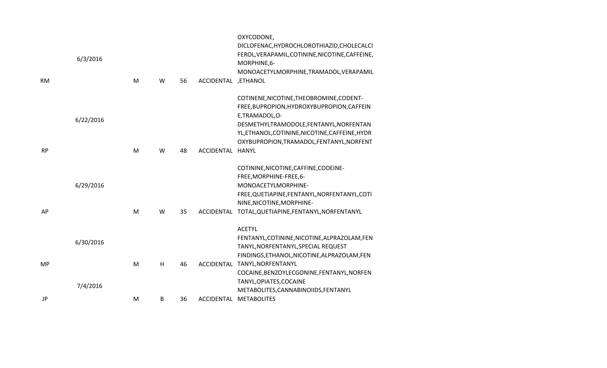| <b>RM</b> | 6/3/2016  | M | W | 56 | ACCIDENTAL ,ETHANOL | OXYCODONE,<br>DICLOFENAC, HYDROCHLOROTHIAZID, CHOLECALCI<br>FEROL, VERAPAMIL, COTININE, NICOTINE, CAFFEINE,<br>MORPHINE, 6-<br>MONOACETYLMORPHINE, TRAMADOL, VERAPAMIL                                                                             |
|-----------|-----------|---|---|----|---------------------|----------------------------------------------------------------------------------------------------------------------------------------------------------------------------------------------------------------------------------------------------|
|           | 6/22/2016 |   |   |    |                     | COTINENE, NICOTINE, THEOBROMINE, CODENT-<br>FREE, BUPROPION, HYDROXYBUPROPION, CAFFEIN<br>E,TRAMADOL,O-<br>DESMETHYLTRAMODOLE, FENTANYL, NORFENTAN<br>YL, ETHANOL, COTININE, NICOTINE, CAFFEINE, HYDR<br>OXYBUPROPION, TRAMADOL, FENTANYL, NORFENT |
| <b>RP</b> |           | M | W | 48 | ACCIDENTAL          | <b>HANYL</b>                                                                                                                                                                                                                                       |
| AP        | 6/29/2016 | M | W | 35 | ACCIDENTAL          | COTININE, NICOTINE, CAFFINE, CODEINE-<br>FREE, MORPHINE-FREE, 6-<br>MONOACETYLMORPHINE-<br>FREE, QUETIAPINE, FENTANYL, NORFENTANYL, COTI<br>NINE, NICOTINE, MORPHINE-<br>TOTAL, QUETIAPINE, FENTANYL, NORFENTANYL                                  |
|           | 6/30/2016 |   |   |    |                     | <b>ACETYL</b><br>FENTANYL, COTININE, NICOTINE, ALPRAZOLAM, FEN<br>TANYL, NORFENTANYL, SPECIAL REQUEST<br>FINDINGS, ETHANOL, NICOTINE, ALPRAZOLAM, FEN                                                                                              |
| MP        | 7/4/2016  | M | H | 46 |                     | ACCIDENTAL TANYL, NORFENTANYL<br>COCAINE, BENZOYLECGONINE, FENTANYL, NORFEN<br>TANYL, OPIATES, COCAINE<br>METABOLITES, CANNABINOIIDS, FENTANYL                                                                                                     |
| JP        |           | M | B | 36 | <b>ACCIDENTAL</b>   | <b>METABOLITES</b>                                                                                                                                                                                                                                 |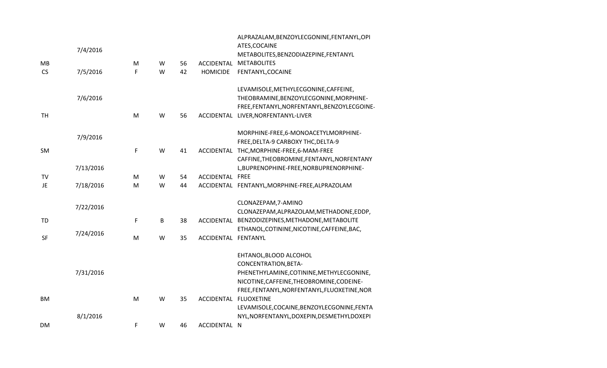|           |           |   |   |    |                       | ALPRAZALAM, BENZOYLECGONINE, FENTANYL, OPI     |
|-----------|-----------|---|---|----|-----------------------|------------------------------------------------|
|           | 7/4/2016  |   |   |    |                       | ATES, COCAINE                                  |
|           |           |   |   |    |                       | METABOLITES, BENZODIAZEPINE, FENTANYL          |
| MB        |           | M | W | 56 | ACCIDENTAL            | <b>METABOLITES</b>                             |
| <b>CS</b> | 7/5/2016  | F | W | 42 | <b>HOMICIDE</b>       | FENTANYL, COCAINE                              |
|           |           |   |   |    |                       | LEVAMISOLE, METHYLECGONINE, CAFFEINE,          |
|           | 7/6/2016  |   |   |    |                       | THEOBRAMINE, BENZOYLECGONINE, MORPHINE-        |
|           |           |   |   |    |                       | FREE,FENTANYL,NORFENTANYL,BENZOYLECGOINE-      |
| <b>TH</b> |           | M | W | 56 | ACCIDENTAL            | LIVER, NORFENTANYL-LIVER                       |
|           | 7/9/2016  |   |   |    |                       | MORPHINE-FREE,6-MONOACETYLMORPHINE-            |
|           |           |   |   |    |                       | FREE, DELTA-9 CARBOXY THC, DELTA-9             |
| SM        |           | F | W | 41 |                       | ACCIDENTAL THC, MORPHINE-FREE, 6-MAM-FREE      |
|           |           |   |   |    |                       | CAFFINE, THEOBROMINE, FENTANYL, NORFENTANY     |
|           | 7/13/2016 |   |   |    |                       | L,BUPRENOPHINE-FREE,NORBUPRENORPHINE-          |
| <b>TV</b> |           | M | W | 54 | ACCIDENTAL FREE       |                                                |
| JE        | 7/18/2016 | M | W | 44 |                       | ACCIDENTAL FENTANYL, MORPHINE-FREE, ALPRAZOLAM |
|           | 7/22/2016 |   |   |    |                       | CLONAZEPAM, 7-AMINO                            |
|           |           |   |   |    |                       | CLONAZEPAM, ALPRAZOLAM, METHADONE, EDDP,       |
| TD        |           | F | B | 38 | ACCIDENTAL            | BENZODIZEPINES, METHADONE, METABOLITE          |
|           | 7/24/2016 |   |   |    |                       | ETHANOL, COTININE, NICOTINE, CAFFEINE, BAC,    |
| <b>SF</b> |           | M | W | 35 | ACCIDENTAL FENTANYL   |                                                |
|           |           |   |   |    |                       | EHTANOL, BLOOD ALCOHOL                         |
|           |           |   |   |    |                       | CONCENTRATION, BETA-                           |
|           | 7/31/2016 |   |   |    |                       | PHENETHYLAMINE, COTININE, METHYLECGONINE,      |
|           |           |   |   |    |                       | NICOTINE, CAFFEINE, THEOBROMINE, CODEINE-      |
|           |           |   |   |    |                       | FREE,FENTANYL,NORFENTANYL,FLUOXETINE,NOR       |
| <b>BM</b> |           | M | W | 35 | ACCIDENTAL FLUOXETINE |                                                |
|           |           |   |   |    |                       | LEVAMISOLE, COCAINE, BENZOYLECGONINE, FENTA    |
|           | 8/1/2016  |   |   |    |                       | NYL, NORFENTANYL, DOXEPIN, DESMETHYLDOXEPI     |
| <b>DM</b> |           | F | W | 46 | ACCIDENTAL            | N                                              |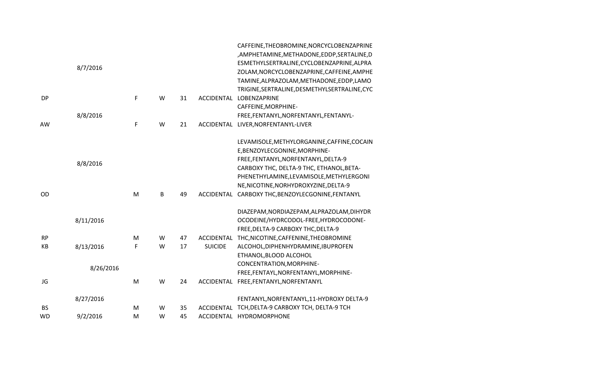|           | 8/7/2016  |   |   |    |                | CAFFEINE, THEOBROMINE, NORCYCLOBENZAPRINE<br>,AMPHETAMINE,METHADONE,EDDP,SERTALINE,D<br>ESMETHYLSERTRALINE, CYCLOBENZAPRINE, ALPRA<br>ZOLAM, NORCYCLOBENZAPRINE, CAFFEINE, AMPHE<br>TAMINE, ALPRAZOLAM, METHADONE, EDDP, LAMO |
|-----------|-----------|---|---|----|----------------|-------------------------------------------------------------------------------------------------------------------------------------------------------------------------------------------------------------------------------|
| <b>DP</b> |           | F | W | 31 |                | TRIGINE, SERTRALINE, DESMETHYLSERTRALINE, CYC<br>ACCIDENTAL LOBENZAPRINE                                                                                                                                                      |
|           |           |   |   |    |                | CAFFEINE, MORPHINE-                                                                                                                                                                                                           |
|           | 8/8/2016  |   |   |    |                | FREE, FENTANYL, NORFENTANYL, FENTANYL-                                                                                                                                                                                        |
| AW        |           | F | W | 21 |                | ACCIDENTAL LIVER, NORFENTANYL-LIVER                                                                                                                                                                                           |
|           |           |   |   |    |                | LEVAMISOLE, METHYLORGANINE, CAFFINE, COCAIN                                                                                                                                                                                   |
|           |           |   |   |    |                | E, BENZOYLECGONINE, MORPHINE-                                                                                                                                                                                                 |
|           | 8/8/2016  |   |   |    |                | FREE, FENTANYL, NORFENTANYL, DELTA-9                                                                                                                                                                                          |
|           |           |   |   |    |                | CARBOXY THC, DELTA-9 THC, ETHANOL, BETA-                                                                                                                                                                                      |
|           |           |   |   |    |                | PHENETHYLAMINE,LEVAMISOLE,METHYLERGONI                                                                                                                                                                                        |
|           |           |   |   |    |                | NE, NICOTINE, NORHYDROXYZINE, DELTA-9                                                                                                                                                                                         |
| OD        |           | M | B | 49 |                | ACCIDENTAL CARBOXY THC, BENZOYLECGONINE, FENTANYL                                                                                                                                                                             |
|           |           |   |   |    |                | DIAZEPAM, NORDIAZEPAM, ALPRAZOLAM, DIHYDR                                                                                                                                                                                     |
|           | 8/11/2016 |   |   |    |                | OCODEINE/HYDRCODOL-FREE, HYDROCODONE-                                                                                                                                                                                         |
|           |           |   |   |    |                | FREE, DELTA-9 CARBOXY THC, DELTA-9                                                                                                                                                                                            |
| <b>RP</b> |           | M | W | 47 |                | ACCIDENTAL THC, NICOTINE, CAFFENINE, THEOBROMINE                                                                                                                                                                              |
| KB        | 8/13/2016 | F | W | 17 | <b>SUICIDE</b> | ALCOHOL, DIPHENHYDRAMINE, IBUPROFEN                                                                                                                                                                                           |
|           |           |   |   |    |                | ETHANOL, BLOOD ALCOHOL                                                                                                                                                                                                        |
|           | 8/26/2016 |   |   |    |                | CONCENTRATION, MORPHINE-                                                                                                                                                                                                      |
|           |           |   |   |    |                | FREE, FENTAYL, NORFENTANYL, MORPHINE-                                                                                                                                                                                         |
| JG        |           | M | W | 24 |                | ACCIDENTAL FREE, FENTANYL, NORFENTANYL                                                                                                                                                                                        |
|           | 8/27/2016 |   |   |    |                | FENTANYL, NORFENTANYL, 11-HYDROXY DELTA-9                                                                                                                                                                                     |
| <b>BS</b> |           | M | W | 35 | ACCIDENTAL     | TCH, DELTA-9 CARBOXY TCH, DELTA-9 TCH                                                                                                                                                                                         |
| <b>WD</b> | 9/2/2016  | M | W | 45 |                | ACCIDENTAL HYDROMORPHONE                                                                                                                                                                                                      |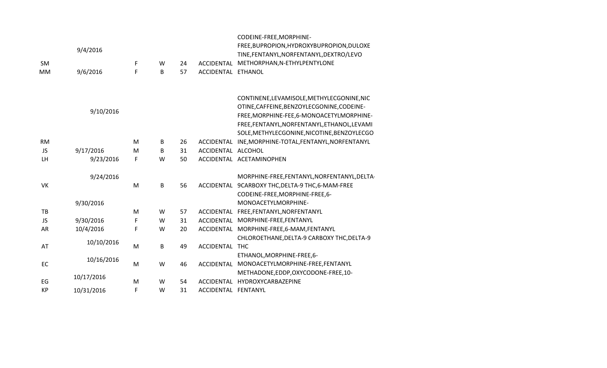|           |            |   |   |          |                     | CODEINE-FREE, MORPHINE-                          |
|-----------|------------|---|---|----------|---------------------|--------------------------------------------------|
|           | 9/4/2016   |   |   |          |                     | FREE, BUPROPION, HYDROXYBUPROPION, DULOXE        |
|           |            |   |   |          |                     | TINE, FENTANYL, NORFENTANYL, DEXTRO/LEVO         |
| SM        |            | F | W | 24<br>57 | ACCIDENTAL          | METHORPHAN, N-ETHYLPENTYLONE                     |
| <b>MM</b> | 9/6/2016   | F | B |          | ACCIDENTAL ETHANOL  |                                                  |
|           |            |   |   |          |                     |                                                  |
|           |            |   |   |          |                     | CONTINENE, LEVAMISOLE, METHYLECGONINE, NIC       |
|           | 9/10/2016  |   |   |          |                     | OTINE, CAFFEINE, BENZOYLECGONINE, CODEINE-       |
|           |            |   |   |          |                     | FREE, MORPHINE-FEE, 6-MONOACETYLMORPHINE-        |
|           |            |   |   |          |                     | FREE,FENTANYL,NORFENTANYL,ETHANOL,LEVAMI         |
|           |            |   |   |          |                     | SOLE, METHYLECGONINE, NICOTINE, BENZOYLECGO      |
| <b>RM</b> |            | M | B | 26       | ACCIDENTAL          | INE, MORPHINE-TOTAL, FENTANYL, NORFENTANYL       |
| <b>JS</b> | 9/17/2016  | M | B | 31       | ACCIDENTAL ALCOHOL  |                                                  |
| LH        | 9/23/2016  | F | W | 50       |                     | ACCIDENTAL ACETAMINOPHEN                         |
|           | 9/24/2016  |   |   |          |                     | MORPHINE-FREE, FENTANYL, NORFENTANYL, DELTA-     |
| <b>VK</b> |            | M | B | 56       |                     | ACCIDENTAL 9CARBOXY THC, DELTA-9 THC, 6-MAM-FREE |
|           |            |   |   |          |                     | CODEINE-FREE, MORPHINE-FREE, 6-                  |
|           | 9/30/2016  |   |   |          |                     | MONOACETYLMORPHINE-                              |
| TB        |            | M | W | 57       | ACCIDENTAL          | FREE, FENTANYL, NORFENTANYL                      |
| <b>JS</b> | 9/30/2016  | F | W | 31       |                     | ACCIDENTAL MORPHINE-FREE, FENTANYL               |
| AR        | 10/4/2016  | F | W | 20       |                     | ACCIDENTAL MORPHINE-FREE,6-MAM,FENTANYL          |
|           |            |   |   |          |                     | CHLOROETHANE, DELTA-9 CARBOXY THC, DELTA-9       |
| AT        | 10/10/2016 | M | B | 49       | ACCIDENTAL          | <b>THC</b>                                       |
|           |            |   |   |          |                     | ETHANOL, MORPHINE-FREE, 6-                       |
| EC        | 10/16/2016 | M | W | 46       | ACCIDENTAL          | MONOACETYLMORPHINE-FREE, FENTANYL                |
|           |            |   |   |          |                     | METHADONE, EDDP, OXYCODONE-FREE, 10-             |
| EG        | 10/17/2016 | M | W | 54       | <b>ACCIDENTAL</b>   | HYDROXYCARBAZEPINE                               |
| <b>KP</b> | 10/31/2016 | F | W | 31       | ACCIDENTAL FENTANYL |                                                  |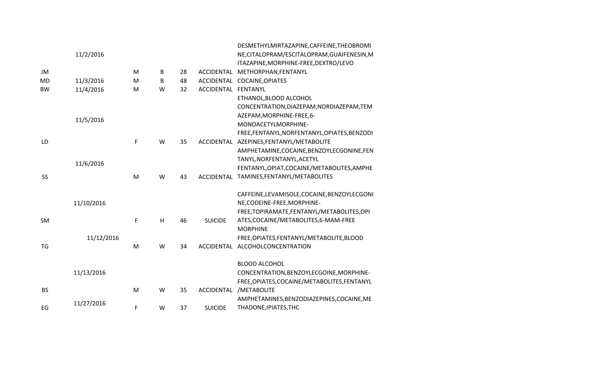|           |            |   |   |    |                     | DESMETHYLMIRTAZAPINE, CAFFEINE, THEOBROMI    |
|-----------|------------|---|---|----|---------------------|----------------------------------------------|
|           | 11/2/2016  |   |   |    |                     | NE, CITALOPRAM/ESCITALOPRAM, GUAIFENESIN, M  |
|           |            |   |   |    |                     | ITAZAPINE, MORPHINE-FREE, DEXTRO/LEVO        |
| JM        |            | M | B | 28 | <b>ACCIDENTAL</b>   | METHORPHAN, FENTANYL                         |
| <b>MD</b> | 11/3/2016  | M | B | 48 | ACCIDENTAL          | COCAINE, OPIATES                             |
| <b>BW</b> | 11/4/2016  | M | W | 32 | ACCIDENTAL FENTANYL |                                              |
|           |            |   |   |    |                     | ETHANOL, BLOOD ALCOHOL                       |
|           |            |   |   |    |                     | CONCENTRATION, DIAZEPAM, NORDIAZEPAM, TEM    |
|           | 11/5/2016  |   |   |    |                     | AZEPAM, MORPHINE-FREE, 6-                    |
|           |            |   |   |    |                     | MONOACETYLMORPHINE-                          |
|           |            |   |   |    |                     | FREE,FENTANYL,NORFENTANYL,OPIATES,BENZODI    |
| LD        |            | F | W | 35 |                     | ACCIDENTAL AZEPINES, FENTANYL/METABOLITE     |
|           |            |   |   |    |                     | AMPHETAMINE, COCAINE, BENZOYLECGONINE, FEN   |
|           | 11/6/2016  |   |   |    |                     | TANYL, NORFENTANYL, ACETYL                   |
|           |            |   |   |    |                     | FENTANYL, OPIAT, COCAINE/METABOLITES, AMPHE  |
| SS        |            | M | W | 43 |                     | ACCIDENTAL TAMINES, FENTANYL/METABOLITES     |
|           |            |   |   |    |                     | CAFFEINE, LEVAMISOLE, COCAINE, BENZOYLECGONI |
|           | 11/10/2016 |   |   |    |                     | NE, CODEINE-FREE, MORPHINE-                  |
|           |            |   |   |    |                     | FREE, TOPIRAMATE, FENTANYL/METABOLITES, OPI  |
| SM        |            | F | H | 46 | <b>SUICIDE</b>      | ATES, COCAINE/METABOLITES, 6-MAM-FREE        |
|           |            |   |   |    |                     | <b>MORPHINE</b>                              |
|           | 11/12/2016 |   |   |    |                     | FREE, OPIATES, FENTANYL/METABOLITE, BLOOD    |
| TG        |            | M | W | 34 | <b>ACCIDENTAL</b>   | ALCOHOLCONCENTRATION                         |
|           |            |   |   |    |                     | <b>BLOOD ALCOHOL</b>                         |
|           | 11/13/2016 |   |   |    |                     | CONCENTRATION, BENZOYLECGOINE, MORPHINE-     |
|           |            |   |   |    |                     | FREE, OPIATES, COCAINE/METABOLITES, FENTANYL |
| <b>BS</b> |            | M | W | 35 | <b>ACCIDENTAL</b>   | /METABOLITE                                  |
|           |            |   |   |    |                     | AMPHETAMINES, BENZODIAZEPINES, COCAINE, ME   |
| EG        | 11/27/2016 | F | W | 37 | <b>SUICIDE</b>      | THADONE, IPIATES, THC                        |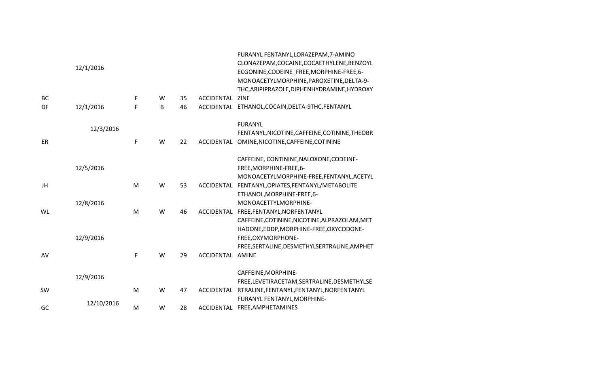|    | 12/1/2016  |   |   |    |            | FURANYL FENTANYL, LORAZEPAM, 7-AMINO<br>CLONAZEPAM, COCAINE, COCAETHYLENE, BENZOYL<br>ECGONINE, CODEINE FREE, MORPHINE-FREE, 6-<br>MONOACETYLMORPHINE, PAROXETINE, DELTA-9-<br>THC, ARIPIPRAZOLE, DIPHENHYDRAMINE, HYDROXY |
|----|------------|---|---|----|------------|----------------------------------------------------------------------------------------------------------------------------------------------------------------------------------------------------------------------------|
| BC |            | F | W | 35 | ACCIDENTAL | <b>ZINE</b>                                                                                                                                                                                                                |
| DF | 12/1/2016  | F | В | 46 |            | ACCIDENTAL ETHANOL, COCAIN, DELTA-9THC, FENTANYL                                                                                                                                                                           |
| ER | 12/3/2016  | F | W | 22 | ACCIDENTAL | <b>FURANYL</b><br>FENTANYL, NICOTINE, CAFFEINE, COTININE, THEOBR<br>OMINE, NICOTINE, CAFFEINE, COTININE                                                                                                                    |
|    | 12/5/2016  |   |   |    |            | CAFFEINE, CONTININE, NALOXONE, CODEINE-<br>FREE, MORPHINE-FREE, 6-<br>MONOACETYLMORPHINE-FREE,FENTANYL,ACETYL                                                                                                              |
| JH |            | M | W | 53 | ACCIDENTAL | FENTANYL, OPIATES, FENTANYL/METABOLITE<br>ETHANOL, MORPHINE-FREE, 6-                                                                                                                                                       |
| WL | 12/8/2016  | M | W | 46 | ACCIDENTAL | MONOACETTYLMORPHINE-<br>FREE, FENTANYL, NORFENTANYL<br>CAFFEINE, COTININE, NICOTINE, ALPRAZOLAM, MET<br>HADONE, EDDP, MORPHINE-FREE, OXYCODONE-                                                                            |
|    | 12/9/2016  |   |   |    |            | FREE, OXYMORPHONE-<br>FREE, SERTALINE, DESMETHYLSERTRALINE, AMPHET                                                                                                                                                         |
| AV |            | F | W | 29 | ACCIDENTAL | <b>AMINE</b>                                                                                                                                                                                                               |
|    | 12/9/2016  |   |   |    |            | CAFFEINE, MORPHINE-<br>FREE, LEVETIRACETAM, SERTRALINE, DESMETHYLSE                                                                                                                                                        |
| SW |            | M | W | 47 | ACCIDENTAL | RTRALINE, FENTANYL, FENTANYL, NORFENTANYL<br>FURANYL FENTANYL, MORPHINE-                                                                                                                                                   |
| GC | 12/10/2016 | M | W | 28 | ACCIDENTAL | FREE, AMPHETAMINES                                                                                                                                                                                                         |